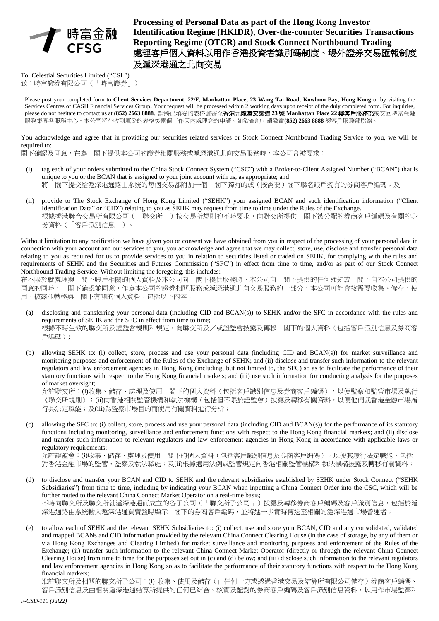

**Processing of Personal Data as part of the Hong Kong Investor Identification Regime (HKIDR), Over-the-counter Securities Transactions Reporting Regime (OTCR) and Stock Connect Northbound Trading** 處理客戶個人資料以用作香港投資者識別碼制度、場外證券交易匯報制度 及滬深港通之北向交易

To: Celestial Securities Limited ("CSL") 致:時富證券有限公司(「時富證券」)

Please post your completed form to **Client Services Department, 22/F, Manhattan Place, 23 Wang Tai Road, Kowloon Bay, Hong Kong** or by visiting the Services Centres of CASH Financial Services Group**.** Your request will be processed within 2 working days upon receipt of the duly completed form. For inquiries, please do not hesitate to contact us at **(852) 2663 8888**. 請將已填妥的表格郵寄至香港九龍灣宏泰道 **23** 號 **Manhattan Place 22** 樓客戶服務部或交回時富金融 服務集團各服務中心。本公司將在收到填妥的表格後兩個工作天內處理您的申請。如欲查詢,請致電**(852) 2663 8888** 與客戶服務部聯絡。

You acknowledge and agree that in providing our securities related services or Stock Connect Northbound Trading Service to you, we will be required to:

閣下確認及同意,在為 閣下提供本公司的證券相關服務或滬深港通北向交易服務時,本公司會被要求:

- (i) tag each of your orders submitted to the China Stock Connect System ("CSC") with a Broker-to-Client Assigned Number ("BCAN") that is unique to you or the BCAN that is assigned to your joint account with us, as appropriate; and 將 閣下提交給滬深港通路由系統的每個交易都附加一個 閣下獨有的或(按需要)閣下聯名賬戶獨有的券商客戶編碼;及
- (ii) provide to The Stock Exchange of Hong Kong Limited ("SEHK") your assigned BCAN and such identification information ("Client Identification Data" or "CID") relating to you as SEHK may request from time to time under the Rules of the Exchange. 根據香港聯合交易所有限公司(「聯交所」)按交易所規則的不時要求,向聯交所提供 閣下被分配的券商客戶編碼及有關的身 份資料(「客戶識別信息」)。

Without limitation to any notification we have given you or consent we have obtained from you in respect of the processing of your personal data in connection with your account and our services to you, you acknowledge and agree that we may collect, store, use, disclose and transfer personal data relating to you as required for us to provide services to you in relation to securities listed or traded on SEHK, for complying with the rules and requirements of SEHK and the Securities and Futures Commission ("SFC") in effect from time to time, and/or as part of our Stock Connect Northbound Trading Service. Without limiting the foregoing, this includes: -

在不限於就處理與 閣下賬戶相關的個人資料及本公司向 閣下提供服務時,本公司向 閣下提供的任何通知或 閣下向本公司提供的 同意的同時, 閣下確認並同意,作為本公司的證券相關服務或滬深港通北向交易服務的一部分,本公司可能會按需要收集、儲存、使 用、披露並轉移與 閣下有關的個人資料,包括以下內容:

- (a) disclosing and transferring your personal data (including CID and BCAN(s)) to SEHK and/or the SFC in accordance with the rules and requirements of SEHK and the SFC in effect from time to time; 根據不時生效的聯交所及證監會規則和規定,向聯交所及/或證監會披露及轉移 閣下的個人資料(包括客戶識別信息及券商客 戶編碼);
- (b) allowing SEHK to: (i) collect, store, process and use your personal data (including CID and BCAN(s)) for market surveillance and monitoring purposes and enforcement of the Rules of the Exchange of SEHK; and (ii) disclose and transfer such information to the relevant regulators and law enforcement agencies in Hong Kong (including, but not limited to, the SFC) so as to facilitate the performance of their statutory functions with respect to the Hong Kong financial markets; and (iii) use such information for conducting analysis for the purposes of market oversight;

允許聯交所:(i)收集、儲存、處理及使用 閣下的個人資料(包括客戶識別信息及券商客戶編碼),以便監察和監管市場及執行 《聯交所規則》;(ii)向香港相關監管機構和執法機構(包括但不限於證監會)披露及轉移有關資料,以便他們就香港金融市場履 行其法定職能;及(iii)為監察市場目的而使用有關資料進行分析;

(c) allowing the SFC to: (i) collect, store, process and use your personal data (including CID and BCAN(s)) for the performance of its statutory functions including monitoring, surveillance and enforcement functions with respect to the Hong Kong financial markets; and (ii) disclose and transfer such information to relevant regulators and law enforcement agencies in Hong Kong in accordance with applicable laws or regulatory requirements;

允許證監會:(i)收集、儲存、處理及使用 閣下的個人資料(包括客戶識別信息及券商客戶編碼),以便其履行法定職能,包括 對香港金融市場的監管、監察及執法職能;及(ii)根據適用法例或監管規定向香港相關監管機構和執法機構披露及轉移有關資料;

- (d) to disclose and transfer your BCAN and CID to SEHK and the relevant subsidiaries established by SEHK under Stock Connect ("SEHK Subsidiaries") from time to time, including by indicating your BCAN when inputting a China Connect Order into the CSC, which will be further routed to the relevant China Connect Market Operator on a real-time basis; 不時向聯交所及聯交所就滬深港通而成立的各子公司(「聯交所子公司」)披露及轉移券商客戶編碼及客戶識別信息,包括於滬 深港通路由系統輸入滬深港通買賣盤時顯示 閣下的券商客戶編碼,並將進一步實時傳送至相關的滬深港通市場營運者;
- (e) to allow each of SEHK and the relevant SEHK Subsidiaries to: (i) collect, use and store your BCAN, CID and any consolidated, validated and mapped BCANs and CID information provided by the relevant China Connect Clearing House (in the case of storage, by any of them or via Hong Kong Exchanges and Clearing Limited) for market surveillance and monitoring purposes and enforcement of the Rules of the Exchange; (ii) transfer such information to the relevant China Connect Market Operator (directly or through the relevant China Connect Clearing House) from time to time for the purposes set out in (c) and (d) below; and (iii) disclose such information to the relevant regulators and law enforcement agencies in Hong Kong so as to facilitate the performance of their statutory functions with respect to the Hong Kong financial markets;

准許聯交所及相關的聯交所子公司:(i) 收集、使用及儲存(由任何一方或透過香港交易及結算所有限公司儲存)券商客戶編碼、 客戶識別信息及由相關滬深港通結算所提供的任何已綜合、核實及配對的券商客戶編碼及客戶識別信息資料,以用作市場監察和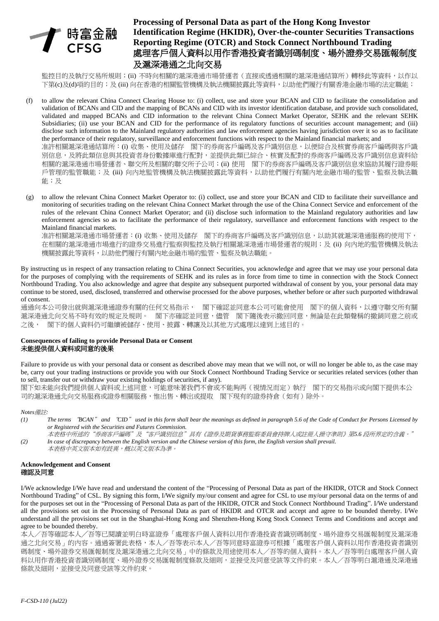

# **Processing of Personal Data as part of the Hong Kong Investor Identification Regime (HKIDR), Over-the-counter Securities Transactions Reporting Regime (OTCR) and Stock Connect Northbound Trading** 處理客戶個人資料以用作香港投資者識別碼制度、場外證券交易匯報制度 及滬深港通之北向交易

監控目的及執行交易所規則;(ii) 不時向相關的滬深港通市場營運者(直接或透過相關的滬深港通結算所)轉移此等資料,以作以 下第(c)及(d)項的目的;及 (iii) 向在香港的相關監管機構及執法機關披露此等資料,以助他們履行有關香港金融市場的法定職能;

- (f) to allow the relevant China Connect Clearing House to: (i) collect, use and store your BCAN and CID to facilitate the consolidation and validation of BCANs and CID and the mapping of BCANs and CID with its investor identification database, and provide such consolidated, validated and mapped BCANs and CID information to the relevant China Connect Market Operator, SEHK and the relevant SEHK Subsidiaries; (ii) use your BCAN and CID for the performance of its regulatory functions of securities account management; and (iii) disclose such information to the Mainland regulatory authorities and law enforcement agencies having jurisdiction over it so as to facilitate the performance of their regulatory, surveillance and enforcement functions with respect to the Mainland financial markets; and 准許相關滬深港通結算所:(i) 收集、使用及儲存 閣下的券商客戶編碼及客戶識別信息,以便綜合及核實券商客戶編碼與客戶識 別信息,及將此類信息與其投資者身份數據庫進行配對,並提供此類已綜合、核實及配對的券商客戶編碼及客戶識別信息資料給 相關的滬深港通市場營運者、聯交所及相關的聯交所子公司;(ii) 使用 閣下的券商客戶編碼及客戶識別信息來協助其履行證券賬 戶管理的監管職能;及 (iii) 向内地監管機構及執法機關披露此等資料,以助他們履行有關內地金融市場的監管、監察及執法職 能;及
- (g) to allow the relevant China Connect Market Operator to: (i) collect, use and store your BCAN and CID to facilitate their surveillance and monitoring of securities trading on the relevant China Connect Market through the use of the China Connect Service and enforcement of the rules of the relevant China Connect Market Operator; and (ii) disclose such information to the Mainland regulatory authorities and law enforcement agencies so as to facilitate the performance of their regulatory, surveillance and enforcement functions with respect to the Mainland financial markets.

准許相關滬深港通市場營運者:(i) 收集、使用及儲存 閣下的券商客戶編碼及客戶識別信息,以助其就滬深港通服務的使用下, 在相關的滬深港通市場進行的證券交易進行監察與監控及執行相關滬深港通市場營運者的規則;及 (ii) 向内地的監管機構及執法 機關披露此等資料,以助他們履行有關內地金融市場的監管、監察及執法職能。

By instructing us in respect of any transaction relating to China Connect Securities, you acknowledge and agree that we may use your personal data for the purposes of complying with the requirements of SEHK and its rules as in force from time to time in connection with the Stock Connect Northbound Trading. You also acknowledge and agree that despite any subsequent purported withdrawal of consent by you, your personal data may continue to be stored, used, disclosed, transferred and otherwise processed for the above purposes, whether before or after such purported withdrawal of consent.

通過向本公司發出就與滬深港通證券有關的任何交易指示, 閣下確認並同意本公司可能會使用 閣下的個人資料,以遵守聯交所有關 滬深港通北向交易不時有效的規定及規則。 閣下亦確認並同意,儘管 閣下隨後表示撤回同意,無論是在此類聲稱的撤銷同意之前或 之後, 閣下的個人資料仍可繼續被儲存、使用、披露、轉讓及以其他方式處理以達到上述目的。

### **Consequences of failing to provide Personal Data or Consent** 未能提供個人資料或同意的後果

Failure to provide us with your personal data or consent as described above may mean that we will not, or will no longer be able to, as the case may be, carry out your trading instructions or provide you with our Stock Connect Northbound Trading Service or securities related services (other than to sell, transfer out or withdraw your existing holdings of securities, if any).

閣下如未能向我們提供個人資料或上述同意,可能意味著我們不會或不能夠再(視情況而定)執行 閣下的交易指示或向閣下提供本公 司的滬深港通北向交易服務或證券相關服務,惟出售、轉出或提取 閣下現有的證券持倉(如有)除外。

*Notes*備註*:*

- *(1) The terms* "*BCAN*" *and* "*CID*" *used in this form shall bear the meanings as defined in paragraph 5.6 of the Code of Conduct for Persons Licensed by or Registered with the Securities and Futures Commission.*
- 本表格中所述的"券商客戶編碼"及"客戶識別信息"具有《證券及期貨事務監察委員會持牌人或註冊人操守準則》第*5.6* 段所界定的含義。" *(2) In case of discrepancy between the English version and the Chinese version of this form, the English version shall prevail.*

#### 本表格中英文版本如有歧異,概以英文版本為準。

#### **Acknowledgement and Consent** 確認及同意

I/We acknowledge I/We have read and understand the content of the "Processing of Personal Data as part of the HKIDR, OTCR and Stock Connect Northbound Trading" of CSL. By signing this form, I/We signify my/our consent and agree for CSL to use my/our personal data on the terms of and for the purposes set out in the "Processing of Personal Data as part of the HKIDR, OTCR and Stock Connect Northbound Trading". I/We understand all the provisions set out in the Processing of Personal Data as part of HKIDR and OTCR and accept and agree to be bounded thereby. I/We understand all the provisions set out in the Shanghai-Hong Kong and Shenzhen-Hong Kong Stock Connect Terms and Conditions and accept and agree to be bounded thereby.

本人/吾等確認本人╱吾等已閱讀並明白時富證券「處理客戶個人資料以用作香港投資者識別碼制度、場外證券交易匯報制度及滬深港 通之北向交易」的內容。通過簽署此表格,本人/吾等表示本人/吾等同意時富證券可根據「處理客戶個人資料以用作香港投資者識別 碼制度、場外證券交易匯報制度及滬深港通之北向交易」中的條款及用途使用本人/吾等的個人資料。本人/吾等明白處理客戶個人資 料以用作香港投資者識別碼制度、場外證券交易匯報制度條款及細則,並接受及同意受該等文件約束。本人/吾等明白滬港通及深港通 條款及細則,並接受及同意受該等文件約束。